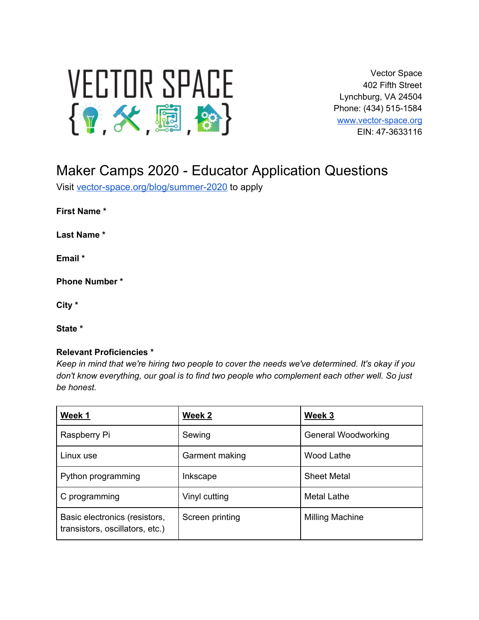

Vector Space 402 Fifth Street Lynchburg, VA 24504 Phone: (434) 515-1584 [www.vector-space.org](http://www.vector-space.org/) EIN: 47-3633116

# Maker Camps 2020 - Educator Application Questions

Visit [vector-space.org/blog/summer-2020](http://vector-space.org/blog/summer-2020) to apply

**First Name \***

**Last Name \***

**Email \***

**Phone Number \***

**City \***

**State \***

#### **Relevant Proficiencies \***

*Keep in mind that we're hiring two people to cover the needs we've determined. It's okay if you don't know everything, our goal is to find two people who complement each other well. So just be honest.*

| Week 1                                                           | Week 2          | Week 3              |
|------------------------------------------------------------------|-----------------|---------------------|
| Raspberry Pi                                                     | Sewing          | General Woodworking |
| Linux use                                                        | Garment making  | Wood Lathe          |
| Python programming                                               | Inkscape        | <b>Sheet Metal</b>  |
| C programming                                                    | Vinyl cutting   | <b>Metal Lathe</b>  |
| Basic electronics (resistors,<br>transistors, oscillators, etc.) | Screen printing | Milling Machine     |